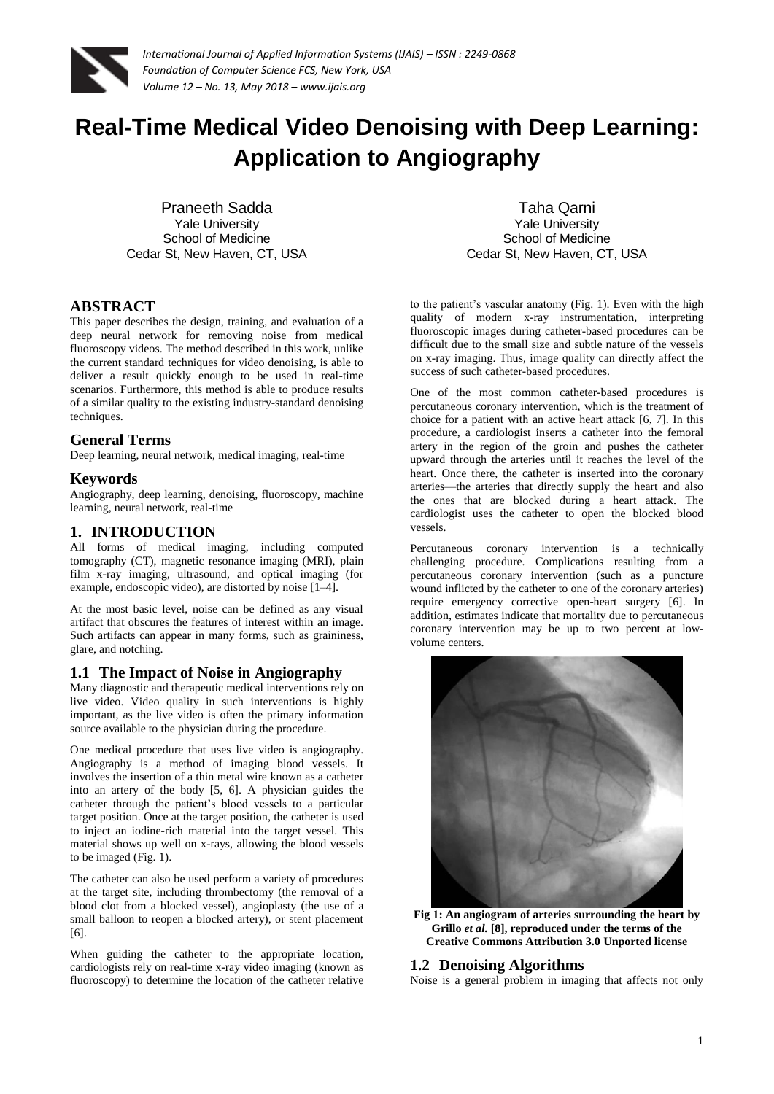

# **Real-Time Medical Video Denoising with Deep Learning: Application to Angiography**

Praneeth Sadda Yale University School of Medicine Cedar St, New Haven, CT, USA

# **ABSTRACT**

This paper describes the design, training, and evaluation of a deep neural network for removing noise from medical fluoroscopy videos. The method described in this work, unlike the current standard techniques for video denoising, is able to deliver a result quickly enough to be used in real-time scenarios. Furthermore, this method is able to produce results of a similar quality to the existing industry-standard denoising techniques.

## **General Terms**

Deep learning, neural network, medical imaging, real-time

## **Keywords**

Angiography, deep learning, denoising, fluoroscopy, machine learning, neural network, real-time

## **1. INTRODUCTION**

All forms of medical imaging, including computed tomography (CT), magnetic resonance imaging (MRI), plain film x-ray imaging, ultrasound, and optical imaging (for example, endoscopic video), are distorted by noise [1–4].

At the most basic level, noise can be defined as any visual artifact that obscures the features of interest within an image. Such artifacts can appear in many forms, such as graininess, glare, and notching.

## **1.1 The Impact of Noise in Angiography**

Many diagnostic and therapeutic medical interventions rely on live video. Video quality in such interventions is highly important, as the live video is often the primary information source available to the physician during the procedure.

One medical procedure that uses live video is angiography. Angiography is a method of imaging blood vessels. It involves the insertion of a thin metal wire known as a catheter into an artery of the body [5, 6]. A physician guides the catheter through the patient's blood vessels to a particular target position. Once at the target position, the catheter is used to inject an iodine-rich material into the target vessel. This material shows up well on x-rays, allowing the blood vessels to be imaged (Fig. 1).

The catheter can also be used perform a variety of procedures at the target site, including thrombectomy (the removal of a blood clot from a blocked vessel), angioplasty (the use of a small balloon to reopen a blocked artery), or stent placement [6].

When guiding the catheter to the appropriate location, cardiologists rely on real-time x-ray video imaging (known as fluoroscopy) to determine the location of the catheter relative

Taha Qarni Yale University School of Medicine Cedar St, New Haven, CT, USA

to the patient's vascular anatomy (Fig. 1). Even with the high quality of modern x-ray instrumentation, interpreting fluoroscopic images during catheter-based procedures can be difficult due to the small size and subtle nature of the vessels on x-ray imaging. Thus, image quality can directly affect the success of such catheter-based procedures.

One of the most common catheter-based procedures is percutaneous coronary intervention, which is the treatment of choice for a patient with an active heart attack [6, 7]. In this procedure, a cardiologist inserts a catheter into the femoral artery in the region of the groin and pushes the catheter upward through the arteries until it reaches the level of the heart. Once there, the catheter is inserted into the coronary arteries—the arteries that directly supply the heart and also the ones that are blocked during a heart attack. The cardiologist uses the catheter to open the blocked blood vessels.

Percutaneous coronary intervention is a technically challenging procedure. Complications resulting from a percutaneous coronary intervention (such as a puncture wound inflicted by the catheter to one of the coronary arteries) require emergency corrective open-heart surgery [6]. In addition, estimates indicate that mortality due to percutaneous coronary intervention may be up to two percent at lowvolume centers.



**Fig 1: An angiogram of arteries surrounding the heart by Grillo** *et al.* **[8], reproduced under the terms of the Creative Commons Attribution 3.0 Unported license**

## **1.2 Denoising Algorithms**

Noise is a general problem in imaging that affects not only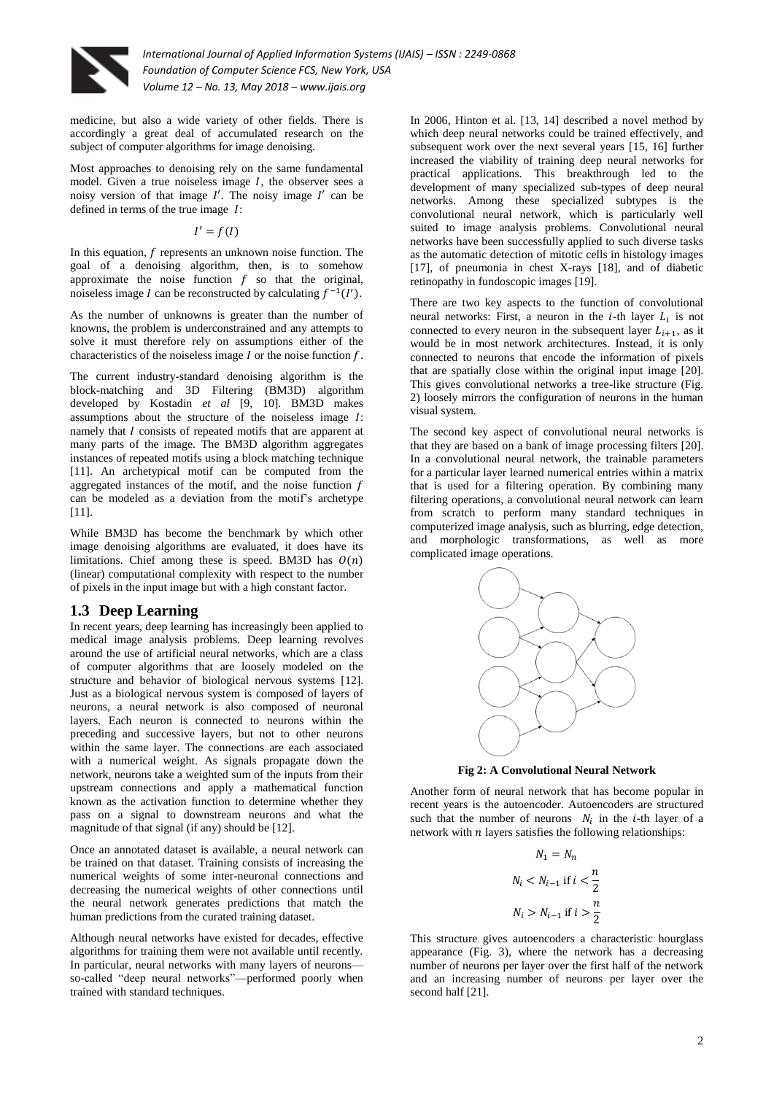

medicine, but also a wide variety of other fields. There is accordingly a great deal of accumulated research on the subject of computer algorithms for image denoising.

Most approaches to denoising rely on the same fundamental model. Given a true noiseless image  $I$ , the observer sees a noisy version of that image  $I'$ . The noisy image  $I'$  can be defined in terms of the true image  $I$ :

 $I'$ 

In this equation,  $f$  represents an unknown noise function. The goal of a denoising algorithm, then, is to somehow approximate the noise function  $f$  so that the original, noiseless image I can be reconstructed by calculating  $f^{-1}(I')$ .

As the number of unknowns is greater than the number of knowns, the problem is underconstrained and any attempts to solve it must therefore rely on assumptions either of the characteristics of the noiseless image  $I$  or the noise function  $f$ .

The current industry-standard denoising algorithm is the block-matching and 3D Filtering (BM3D) algorithm developed by Kostadin *et al* [9, 10]*.* BM3D makes assumptions about the structure of the noiseless image *:* namely that  $I$  consists of repeated motifs that are apparent at many parts of the image. The BM3D algorithm aggregates instances of repeated motifs using a block matching technique [11]. An archetypical motif can be computed from the aggregated instances of the motif, and the noise function  $f$ can be modeled as a deviation from the motif's archetype [11].

While BM3D has become the benchmark by which other image denoising algorithms are evaluated, it does have its limitations. Chief among these is speed. BM3D has  $O(n)$ (linear) computational complexity with respect to the number of pixels in the input image but with a high constant factor.

# **1.3 Deep Learning**

In recent years, deep learning has increasingly been applied to medical image analysis problems. Deep learning revolves around the use of artificial neural networks, which are a class of computer algorithms that are loosely modeled on the structure and behavior of biological nervous systems [12]. Just as a biological nervous system is composed of layers of neurons, a neural network is also composed of neuronal layers. Each neuron is connected to neurons within the preceding and successive layers, but not to other neurons within the same layer. The connections are each associated with a numerical weight. As signals propagate down the network, neurons take a weighted sum of the inputs from their upstream connections and apply a mathematical function known as the activation function to determine whether they pass on a signal to downstream neurons and what the magnitude of that signal (if any) should be [12].

Once an annotated dataset is available, a neural network can be trained on that dataset. Training consists of increasing the numerical weights of some inter-neuronal connections and decreasing the numerical weights of other connections until the neural network generates predictions that match the human predictions from the curated training dataset.

Although neural networks have existed for decades, effective algorithms for training them were not available until recently. In particular, neural networks with many layers of neurons so-called "deep neural networks"—performed poorly when trained with standard techniques.

In 2006, Hinton et al. [13, 14] described a novel method by which deep neural networks could be trained effectively, and subsequent work over the next several years [15, 16] further increased the viability of training deep neural networks for practical applications. This breakthrough led to the development of many specialized sub-types of deep neural networks. Among these specialized subtypes is the convolutional neural network, which is particularly well suited to image analysis problems. Convolutional neural networks have been successfully applied to such diverse tasks as the automatic detection of mitotic cells in histology images [17], of pneumonia in chest X-rays [18], and of diabetic retinopathy in fundoscopic images [19].

There are two key aspects to the function of convolutional neural networks: First, a neuron in the *i*-th layer  $L_i$  is not connected to every neuron in the subsequent layer  $L_{i+1}$ , as it would be in most network architectures. Instead, it is only connected to neurons that encode the information of pixels that are spatially close within the original input image [20]. This gives convolutional networks a tree-like structure (Fig. 2) loosely mirrors the configuration of neurons in the human visual system.

The second key aspect of convolutional neural networks is that they are based on a bank of image processing filters [20]. In a convolutional neural network, the trainable parameters for a particular layer learned numerical entries within a matrix that is used for a filtering operation. By combining many filtering operations, a convolutional neural network can learn from scratch to perform many standard techniques in computerized image analysis, such as blurring, edge detection, and morphologic transformations, as well as more complicated image operations.



**Fig 2: A Convolutional Neural Network**

Another form of neural network that has become popular in recent years is the autoencoder. Autoencoders are structured such that the number of neurons  $N_i$  in the *i*-th layer of a network with  $n$  layers satisfies the following relationships:

$$
N_1 = N_n
$$
  

$$
N_i < N_{i-1} \text{ if } i < \frac{n}{2}
$$
  

$$
N_i > N_{i-1} \text{ if } i > \frac{n}{2}
$$

This structure gives autoencoders a characteristic hourglass appearance (Fig. 3), where the network has a decreasing number of neurons per layer over the first half of the network and an increasing number of neurons per layer over the second half [21].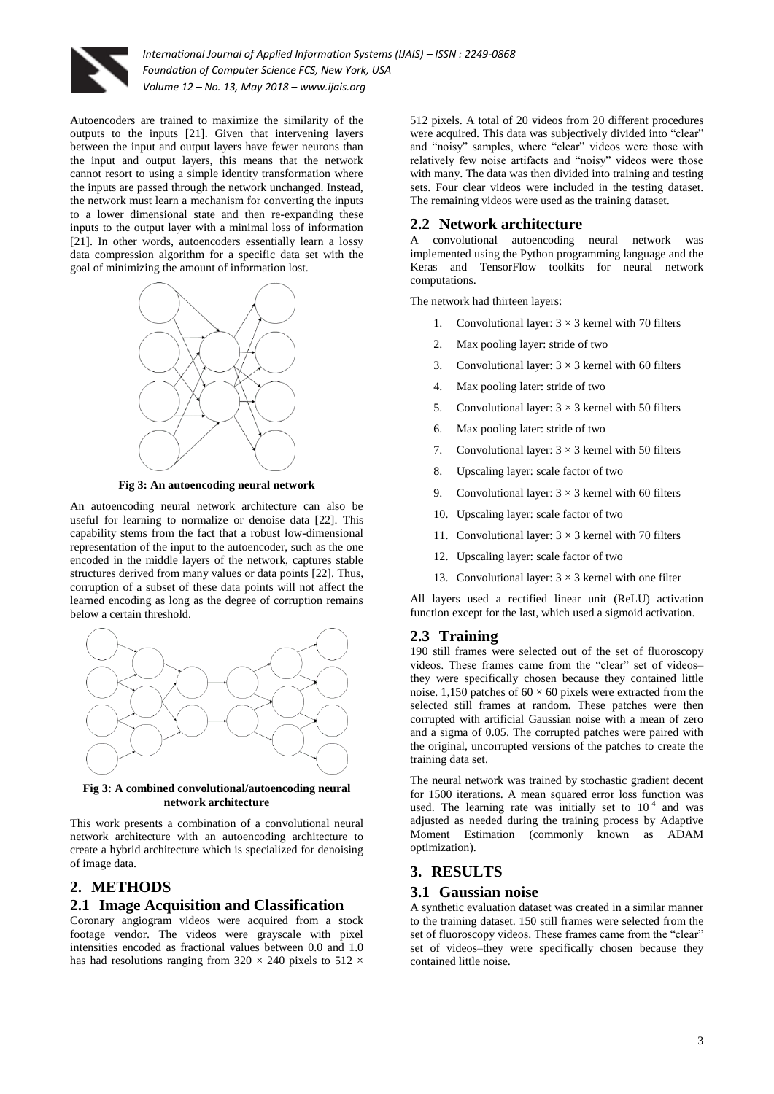

Autoencoders are trained to maximize the similarity of the outputs to the inputs [21]. Given that intervening layers between the input and output layers have fewer neurons than the input and output layers, this means that the network cannot resort to using a simple identity transformation where the inputs are passed through the network unchanged. Instead, the network must learn a mechanism for converting the inputs to a lower dimensional state and then re-expanding these inputs to the output layer with a minimal loss of information [21]. In other words, autoencoders essentially learn a lossy data compression algorithm for a specific data set with the goal of minimizing the amount of information lost.



**Fig 3: An autoencoding neural network**

An autoencoding neural network architecture can also be useful for learning to normalize or denoise data [22]. This capability stems from the fact that a robust low-dimensional representation of the input to the autoencoder, such as the one encoded in the middle layers of the network, captures stable structures derived from many values or data points [22]. Thus, corruption of a subset of these data points will not affect the learned encoding as long as the degree of corruption remains below a certain threshold.



#### **Fig 3: A combined convolutional/autoencoding neural network architecture**

This work presents a combination of a convolutional neural network architecture with an autoencoding architecture to create a hybrid architecture which is specialized for denoising of image data.

## **2. METHODS**

#### **2.1 Image Acquisition and Classification**

Coronary angiogram videos were acquired from a stock footage vendor. The videos were grayscale with pixel intensities encoded as fractional values between 0.0 and 1.0 has had resolutions ranging from  $320 \times 240$  pixels to  $512 \times$ 

512 pixels. A total of 20 videos from 20 different procedures were acquired. This data was subjectively divided into "clear" and "noisy" samples, where "clear" videos were those with relatively few noise artifacts and "noisy" videos were those with many. The data was then divided into training and testing sets. Four clear videos were included in the testing dataset. The remaining videos were used as the training dataset.

#### **2.2 Network architecture**

A convolutional autoencoding neural network was implemented using the Python programming language and the Keras and TensorFlow toolkits for neural network computations.

The network had thirteen layers:

- 1. Convolutional layer:  $3 \times 3$  kernel with 70 filters
- 2. Max pooling layer: stride of two
- 3. Convolutional layer:  $3 \times 3$  kernel with 60 filters
- 4. Max pooling later: stride of two
- 5. Convolutional layer:  $3 \times 3$  kernel with 50 filters
- 6. Max pooling later: stride of two
- 7. Convolutional layer:  $3 \times 3$  kernel with 50 filters
- 8. Upscaling layer: scale factor of two
- 9. Convolutional layer:  $3 \times 3$  kernel with 60 filters
- 10. Upscaling layer: scale factor of two
- 11. Convolutional layer:  $3 \times 3$  kernel with 70 filters
- 12. Upscaling layer: scale factor of two
- 13. Convolutional layer:  $3 \times 3$  kernel with one filter

All layers used a rectified linear unit (ReLU) activation function except for the last, which used a sigmoid activation.

#### **2.3 Training**

190 still frames were selected out of the set of fluoroscopy videos. These frames came from the "clear" set of videos– they were specifically chosen because they contained little noise. 1,150 patches of  $60 \times 60$  pixels were extracted from the selected still frames at random. These patches were then corrupted with artificial Gaussian noise with a mean of zero and a sigma of 0.05. The corrupted patches were paired with the original, uncorrupted versions of the patches to create the training data set.

The neural network was trained by stochastic gradient decent for 1500 iterations. A mean squared error loss function was used. The learning rate was initially set to  $10^{-4}$  and was adjusted as needed during the training process by Adaptive Moment Estimation (commonly known as ADAM optimization).

#### **3. RESULTS**

#### **3.1 Gaussian noise**

A synthetic evaluation dataset was created in a similar manner to the training dataset. 150 still frames were selected from the set of fluoroscopy videos. These frames came from the "clear" set of videos–they were specifically chosen because they contained little noise.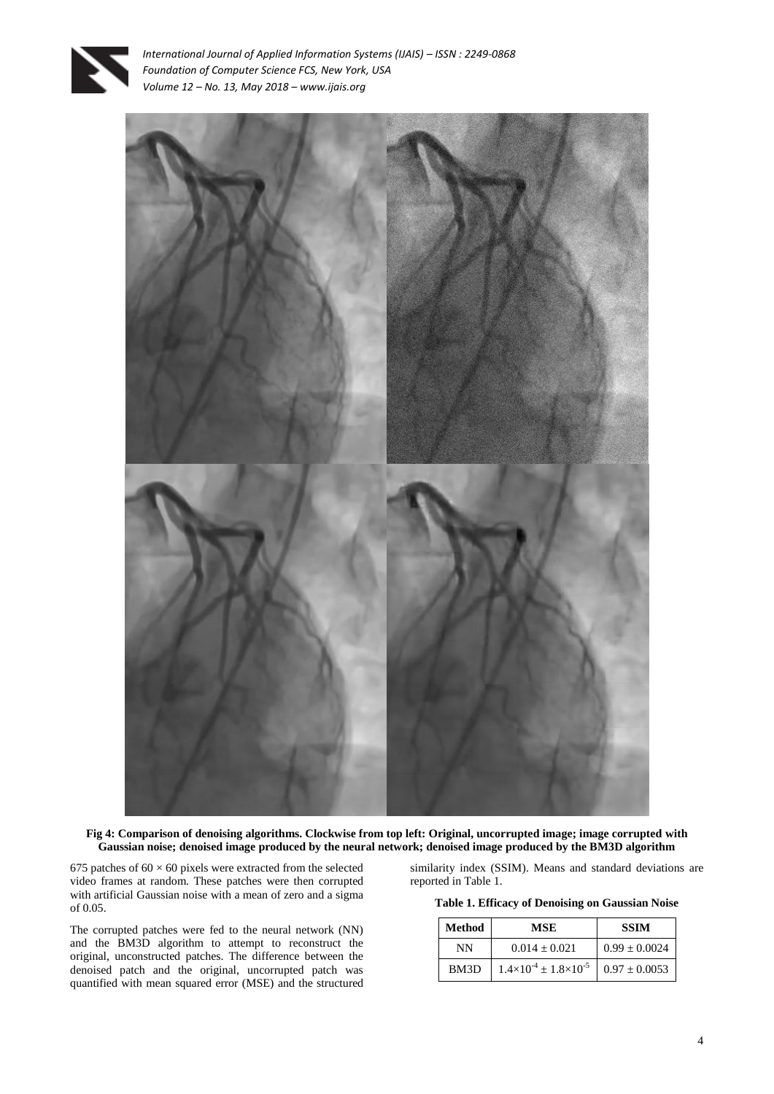



**Fig 4: Comparison of denoising algorithms. Clockwise from top left: Original, uncorrupted image; image corrupted with Gaussian noise; denoised image produced by the neural network; denoised image produced by the BM3D algorithm**

675 patches of  $60 \times 60$  pixels were extracted from the selected video frames at random. These patches were then corrupted with artificial Gaussian noise with a mean of zero and a sigma of 0.05.

The corrupted patches were fed to the neural network (NN) and the BM3D algorithm to attempt to reconstruct the original, unconstructed patches. The difference between the denoised patch and the original, uncorrupted patch was quantified with mean squared error (MSE) and the structured

similarity index (SSIM). Means and standard deviations are reported in Table 1.

**Table 1. Efficacy of Denoising on Gaussian Noise**

| Method | MSE                                     | <b>SSIM</b>     |
|--------|-----------------------------------------|-----------------|
| NΝ     | $0.014 + 0.021$                         | $0.99 + 0.0024$ |
| BM3D   | $1.4\times10^{-4}$ + $1.8\times10^{-5}$ | $0.97 + 0.0053$ |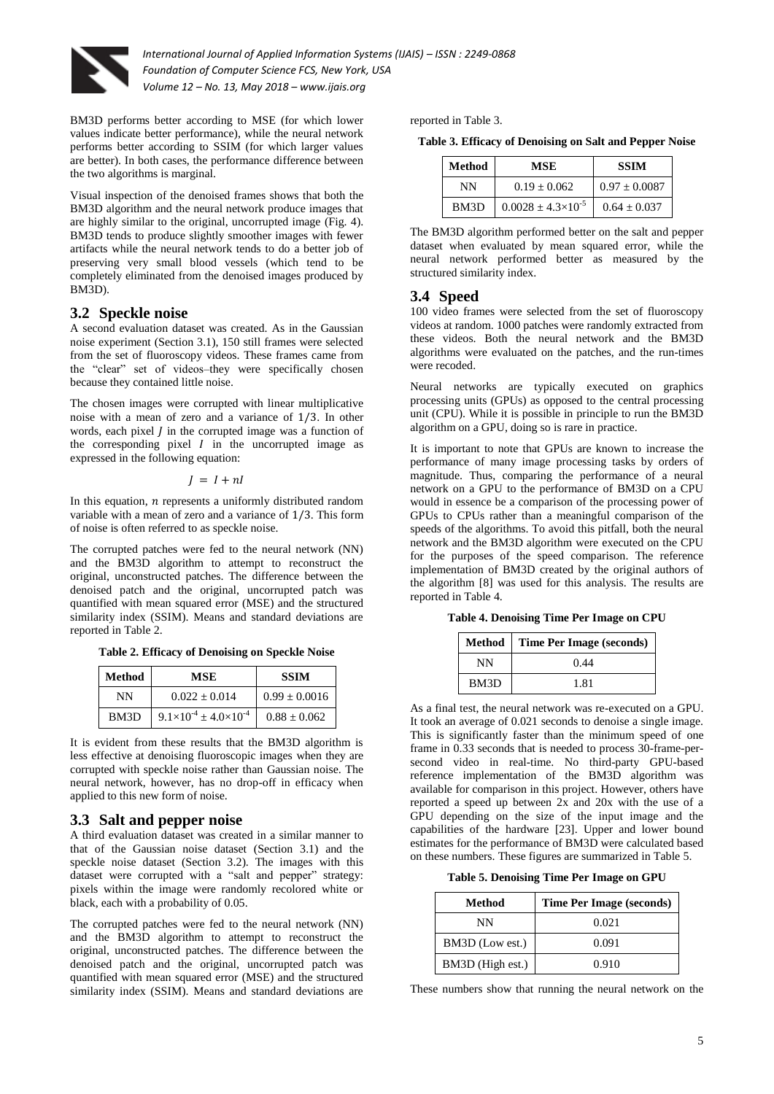

BM3D performs better according to MSE (for which lower values indicate better performance), while the neural network performs better according to SSIM (for which larger values are better). In both cases, the performance difference between the two algorithms is marginal.

Visual inspection of the denoised frames shows that both the BM3D algorithm and the neural network produce images that are highly similar to the original, uncorrupted image (Fig. 4). BM3D tends to produce slightly smoother images with fewer artifacts while the neural network tends to do a better job of preserving very small blood vessels (which tend to be completely eliminated from the denoised images produced by BM3D).

## **3.2 Speckle noise**

A second evaluation dataset was created. As in the Gaussian noise experiment (Section 3.1), 150 still frames were selected from the set of fluoroscopy videos. These frames came from the "clear" set of videos–they were specifically chosen because they contained little noise.

The chosen images were corrupted with linear multiplicative noise with a mean of zero and a variance of  $1/3$ . In other words, each pixel  *in the corrupted image was a function of* the corresponding pixel  $I$  in the uncorrupted image as expressed in the following equation:

 $I = I + nI$ 

In this equation,  $n$  represents a uniformly distributed random variable with a mean of zero and a variance of  $1/3$ . This form of noise is often referred to as speckle noise.

The corrupted patches were fed to the neural network (NN) and the BM3D algorithm to attempt to reconstruct the original, unconstructed patches. The difference between the denoised patch and the original, uncorrupted patch was quantified with mean squared error (MSE) and the structured similarity index (SSIM). Means and standard deviations are reported in Table 2.

**Table 2. Efficacy of Denoising on Speckle Noise**

| Method | MSE                                      | <b>SSIM</b>       |  |
|--------|------------------------------------------|-------------------|--|
| NΝ     | $0.022 + 0.014$                          | $0.99 \pm 0.0016$ |  |
| BM3D   | $9.1\times10^{-4}$ + 4.0 $\times10^{-4}$ | $0.88 + 0.062$    |  |

It is evident from these results that the BM3D algorithm is less effective at denoising fluoroscopic images when they are corrupted with speckle noise rather than Gaussian noise. The neural network, however, has no drop-off in efficacy when applied to this new form of noise.

#### **3.3 Salt and pepper noise**

A third evaluation dataset was created in a similar manner to that of the Gaussian noise dataset (Section 3.1) and the speckle noise dataset (Section 3.2). The images with this dataset were corrupted with a "salt and pepper" strategy: pixels within the image were randomly recolored white or black, each with a probability of 0.05.

The corrupted patches were fed to the neural network (NN) and the BM3D algorithm to attempt to reconstruct the original, unconstructed patches. The difference between the denoised patch and the original, uncorrupted patch was quantified with mean squared error (MSE) and the structured similarity index (SSIM). Means and standard deviations are reported in Table 3.

**Table 3. Efficacy of Denoising on Salt and Pepper Noise**

| Method | MSE                           | <b>SSIM</b>     |
|--------|-------------------------------|-----------------|
| NΝ     | $0.19 + 0.062$                | $0.97 + 0.0087$ |
| BM3D   | $0.0028 + 4.3 \times 10^{-5}$ | $0.64 + 0.037$  |

The BM3D algorithm performed better on the salt and pepper dataset when evaluated by mean squared error, while the neural network performed better as measured by the structured similarity index.

#### **3.4 Speed**

100 video frames were selected from the set of fluoroscopy videos at random. 1000 patches were randomly extracted from these videos. Both the neural network and the BM3D algorithms were evaluated on the patches, and the run-times were recoded.

Neural networks are typically executed on graphics processing units (GPUs) as opposed to the central processing unit (CPU). While it is possible in principle to run the BM3D algorithm on a GPU, doing so is rare in practice.

It is important to note that GPUs are known to increase the performance of many image processing tasks by orders of magnitude. Thus, comparing the performance of a neural network on a GPU to the performance of BM3D on a CPU would in essence be a comparison of the processing power of GPUs to CPUs rather than a meaningful comparison of the speeds of the algorithms. To avoid this pitfall, both the neural network and the BM3D algorithm were executed on the CPU for the purposes of the speed comparison. The reference implementation of BM3D created by the original authors of the algorithm [8] was used for this analysis. The results are reported in Table 4.

**Table 4. Denoising Time Per Image on CPU**

|      | Method   Time Per Image (seconds) |
|------|-----------------------------------|
| NΝ   | 0.44                              |
| BM3D | 1.81                              |

As a final test, the neural network was re-executed on a GPU. It took an average of 0.021 seconds to denoise a single image. This is significantly faster than the minimum speed of one frame in 0.33 seconds that is needed to process 30-frame-persecond video in real-time. No third-party GPU-based reference implementation of the BM3D algorithm was available for comparison in this project. However, others have reported a speed up between  $2x$  and  $20x$  with the use of a GPU depending on the size of the input image and the capabilities of the hardware [23]. Upper and lower bound estimates for the performance of BM3D were calculated based on these numbers. These figures are summarized in Table 5.

**Table 5. Denoising Time Per Image on GPU**

| Method           | <b>Time Per Image (seconds)</b> |
|------------------|---------------------------------|
| NΝ               | 0.021                           |
| BM3D (Low est.)  | 0.091                           |
| BM3D (High est.) | 0.910                           |

These numbers show that running the neural network on the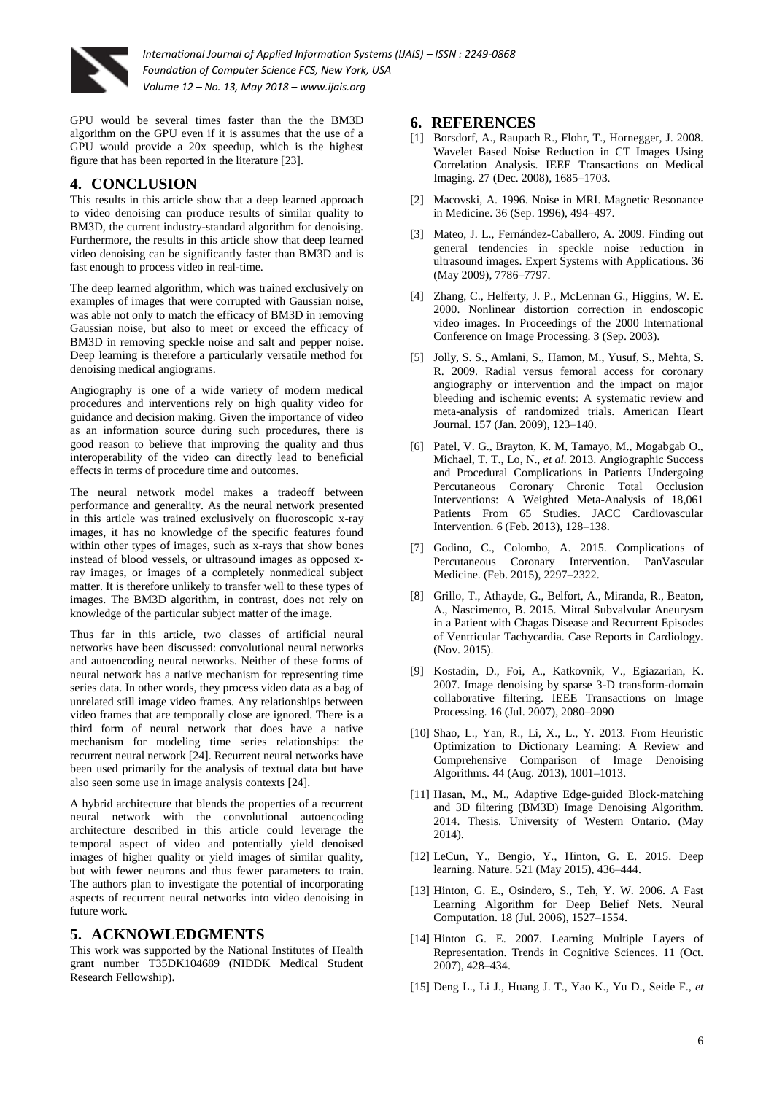

GPU would be several times faster than the the BM3D algorithm on the GPU even if it is assumes that the use of a GPU would provide a 20x speedup, which is the highest figure that has been reported in the literature [23].

## **4. CONCLUSION**

This results in this article show that a deep learned approach to video denoising can produce results of similar quality to BM3D, the current industry-standard algorithm for denoising. Furthermore, the results in this article show that deep learned video denoising can be significantly faster than BM3D and is fast enough to process video in real-time.

The deep learned algorithm, which was trained exclusively on examples of images that were corrupted with Gaussian noise, was able not only to match the efficacy of BM3D in removing Gaussian noise, but also to meet or exceed the efficacy of BM3D in removing speckle noise and salt and pepper noise. Deep learning is therefore a particularly versatile method for denoising medical angiograms.

Angiography is one of a wide variety of modern medical procedures and interventions rely on high quality video for guidance and decision making. Given the importance of video as an information source during such procedures, there is good reason to believe that improving the quality and thus interoperability of the video can directly lead to beneficial effects in terms of procedure time and outcomes.

The neural network model makes a tradeoff between performance and generality. As the neural network presented in this article was trained exclusively on fluoroscopic x-ray images, it has no knowledge of the specific features found within other types of images, such as x-rays that show bones instead of blood vessels, or ultrasound images as opposed xray images, or images of a completely nonmedical subject matter. It is therefore unlikely to transfer well to these types of images. The BM3D algorithm, in contrast, does not rely on knowledge of the particular subject matter of the image.

Thus far in this article, two classes of artificial neural networks have been discussed: convolutional neural networks and autoencoding neural networks. Neither of these forms of neural network has a native mechanism for representing time series data. In other words, they process video data as a bag of unrelated still image video frames. Any relationships between video frames that are temporally close are ignored. There is a third form of neural network that does have a native mechanism for modeling time series relationships: the recurrent neural network [24]. Recurrent neural networks have been used primarily for the analysis of textual data but have also seen some use in image analysis contexts [24].

A hybrid architecture that blends the properties of a recurrent neural network with the convolutional autoencoding architecture described in this article could leverage the temporal aspect of video and potentially yield denoised images of higher quality or yield images of similar quality, but with fewer neurons and thus fewer parameters to train. The authors plan to investigate the potential of incorporating aspects of recurrent neural networks into video denoising in future work.

# **5. ACKNOWLEDGMENTS**

This work was supported by the National Institutes of Health grant number T35DK104689 (NIDDK Medical Student Research Fellowship).

## **6. REFERENCES**

- [1] Borsdorf, A., Raupach R., Flohr, T., Hornegger, J. 2008. Wavelet Based Noise Reduction in CT Images Using Correlation Analysis. IEEE Transactions on Medical Imaging. 27 (Dec. 2008), 1685–1703.
- [2] Macovski, A. 1996. Noise in MRI. Magnetic Resonance in Medicine. 36 (Sep. 1996), 494–497.
- [3] Mateo, J. L., Fernández-Caballero, A. 2009. Finding out general tendencies in speckle noise reduction in ultrasound images. Expert Systems with Applications. 36 (May 2009), 7786–7797.
- [4] Zhang, C., Helferty, J. P., McLennan G., Higgins, W. E. 2000. Nonlinear distortion correction in endoscopic video images. In Proceedings of the 2000 International Conference on Image Processing. 3 (Sep. 2003).
- [5] Jolly, S. S., Amlani, S., Hamon, M., Yusuf, S., Mehta, S. R. 2009. Radial versus femoral access for coronary angiography or intervention and the impact on major bleeding and ischemic events: A systematic review and meta-analysis of randomized trials. American Heart Journal. 157 (Jan. 2009), 123–140.
- [6] Patel, V. G., Brayton, K. M, Tamayo, M., Mogabgab O., Michael, T. T., Lo, N., *et al.* 2013. Angiographic Success and Procedural Complications in Patients Undergoing Percutaneous Coronary Chronic Total Occlusion Interventions: A Weighted Meta-Analysis of 18,061 Patients From 65 Studies. JACC Cardiovascular Intervention. 6 (Feb. 2013), 128–138.
- [7] Godino, C., Colombo, A. 2015. Complications of Percutaneous Coronary Intervention. PanVascular Medicine. (Feb. 2015), 2297–2322.
- [8] Grillo, T., Athayde, G., Belfort, A., Miranda, R., Beaton, A., Nascimento, B. 2015. Mitral Subvalvular Aneurysm in a Patient with Chagas Disease and Recurrent Episodes of Ventricular Tachycardia. Case Reports in Cardiology. (Nov. 2015).
- [9] Kostadin, D., Foi, A., Katkovnik, V., Egiazarian, K. 2007. Image denoising by sparse 3-D transform-domain collaborative filtering. IEEE Transactions on Image Processing. 16 (Jul. 2007), 2080–2090
- [10] Shao, L., Yan, R., Li, X., L., Y. 2013. From Heuristic Optimization to Dictionary Learning: A Review and Comprehensive Comparison of Image Denoising Algorithms. 44 (Aug. 2013), 1001–1013.
- [11] Hasan, M., M., Adaptive Edge-guided Block-matching and 3D filtering (BM3D) Image Denoising Algorithm. 2014. Thesis. University of Western Ontario. (May 2014).
- [12] LeCun, Y., Bengio, Y., Hinton, G. E. 2015. Deep learning. Nature. 521 (May 2015), 436–444.
- [13] Hinton, G. E., Osindero, S., Teh, Y. W. 2006. A Fast Learning Algorithm for Deep Belief Nets. Neural Computation. 18 (Jul. 2006), 1527–1554.
- [14] Hinton G. E. 2007. Learning Multiple Layers of Representation. Trends in Cognitive Sciences. 11 (Oct. 2007), 428–434.
- [15] Deng L., Li J., Huang J. T., Yao K., Yu D., Seide F., *et*